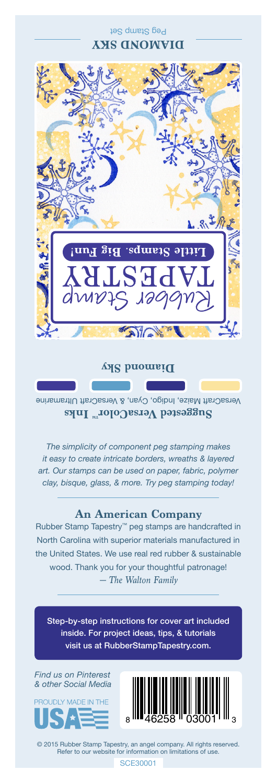## Peg Stamp Set **DIAMOND SKY**



**Diamond Sky**

VersaCraft Maize, Indigo, Cyan, & VersaCraft Ultramarine **Suggested VersaColor** Inks

*The simplicity of component peg stamping makes it easy to create intricate borders, wreaths & layered art. Our stamps can be used on paper, fabric, polymer clay, bisque, glass, & more. Try peg stamping today!*

## **An American Company**

*— The Walton Family* Rubber Stamp Tapestry™ peg stamps are handcrafted in North Carolina with superior materials manufactured in the United States. We use real red rubber & sustainable wood. Thank you for your thoughtful patronage!

Step-by-step instructions for cover art included inside. For project ideas, tips, & tutorials visit us at RubberStampTapestry.com.

*Find us on Pinterest & other Social Media*





© 2015 Rubber Stamp Tapestry, an angel company. All rights reserved. Refer to our website for information on limitations of use.